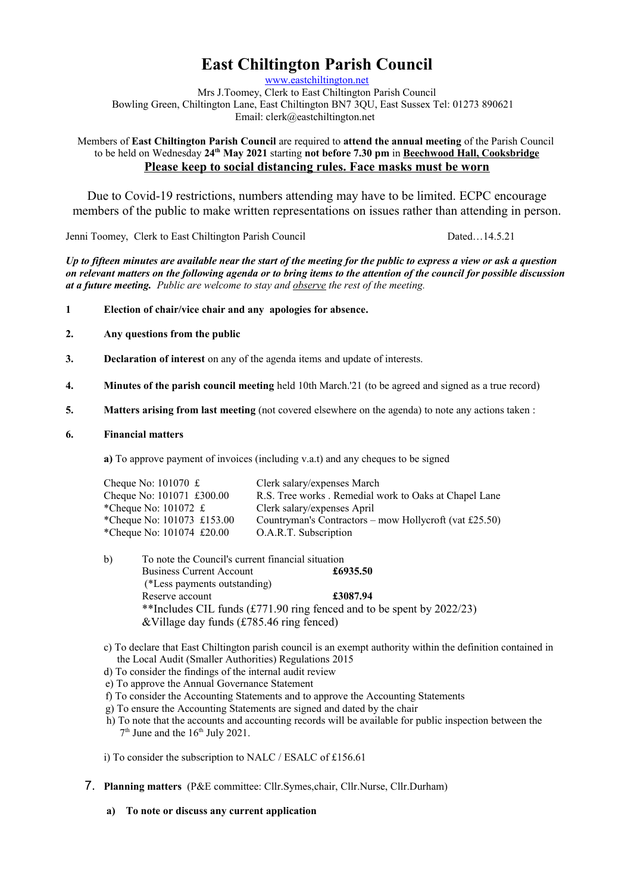# **East Chiltington Parish Council**

[www.eastchiltington.net](http://www.eastchiltington.net/)

Mrs J.Toomey, Clerk to East Chiltington Parish Council Bowling Green, Chiltington Lane, East Chiltington BN7 3QU, East Sussex Tel: 01273 890621 Email: cler[k@eastchiltington.net](mailto:jt@chiltington.wanadoo.co.uk) 

Members of **East Chiltington Parish Council** are required to **attend the annual meeting** of the Parish Council to be held on Wednesday **24th May 2021** starting **not before 7.30 pm** in **Beechwood Hall, Cooksbridge Please keep to social distancing rules. Face masks must be worn**

Due to Covid-19 restrictions, numbers attending may have to be limited. ECPC encourage members of the public to make written representations on issues rather than attending in person.

Jenni Toomey, Clerk to East Chiltington Parish Council Dated…14.5.21

*Up to fifteen minutes are available near the start of the meeting for the public to express a view or ask a question on relevant matters on the following agenda or to bring items to the attention of the council for possible discussion at a future meeting. Public are welcome to stay and observe the rest of the meeting.*

- **1 Election of chair/vice chair and any apologies for absence.**
- **2. Any questions from the public**
- **3. Declaration of interest** on any of the agenda items and update of interests.
- **4. Minutes of the parish council meeting** held 10th March.'21 (to be agreed and signed as a true record)
- **5. Matters arising from last meeting** (not covered elsewhere on the agenda) to note any actions taken :
- **6. Financial matters**

**a)** To approve payment of invoices (including v.a.t) and any cheques to be signed

| Cheque No: $101070 \text{ } \pounds$        | Clerk salary/expenses March                            |
|---------------------------------------------|--------------------------------------------------------|
| Cheque No: 101071 £300.00                   | R.S. Tree works . Remedial work to Oaks at Chapel Lane |
| *Cheque No: $101072 \text{ } \pounds$       | Clerk salary/expenses April                            |
| *Cheque No: $101073$ £153.00                | Countryman's Contractors – mow Hollycroft (vat £25.50) |
| *Cheque No: $101074 \text{ } \pounds 20.00$ | O.A.R.T. Subscription                                  |

- b) To note the Council's current financial situation Business Current Account **£6935.50** (\*Less payments outstanding) Reserve account **£3087.94** \*\*Includes CIL funds (£771.90 ring fenced and to be spent by 2022/23) &Village day funds (£785.46 ring fenced)
- c) To declare that East Chiltington parish council is an exempt authority within the definition contained in the Local Audit (Smaller Authorities) Regulations 2015
- d) To consider the findings of the internal audit review
- e) To approve the Annual Governance Statement
- f) To consider the Accounting Statements and to approve the Accounting Statements
- g) To ensure the Accounting Statements are signed and dated by the chair
- h) To note that the accounts and accounting records will be available for public inspection between the 7<sup>th</sup> June and the 16<sup>th</sup> July 2021.

i) To consider the subscription to NALC / ESALC of £156.61

- 7. **Planning matters** (P&E committee: Cllr.Symes,chair, Cllr.Nurse, Cllr.Durham)
	- **a) To note or discuss any current application**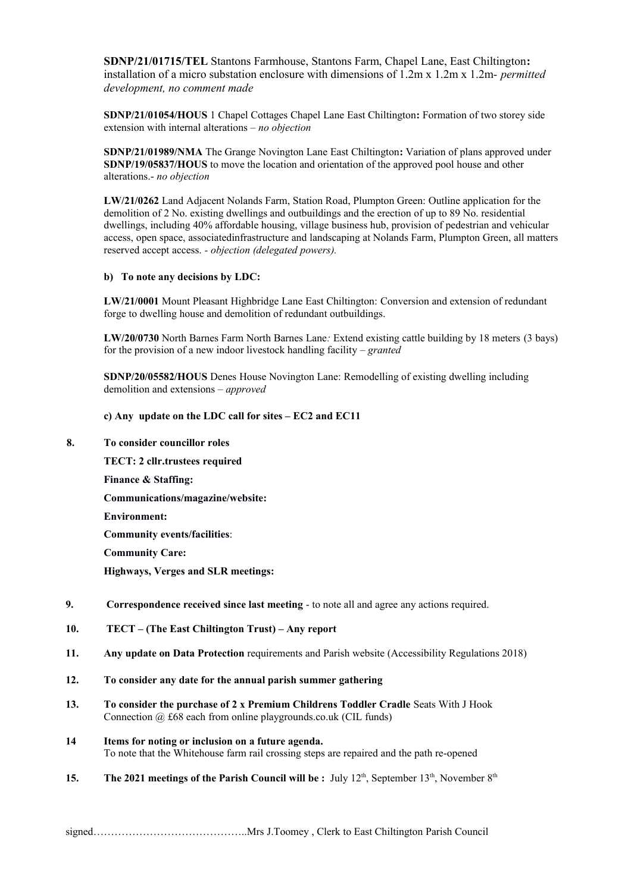**SDNP/21/01715/TEL** Stantons Farmhouse, Stantons Farm, Chapel Lane, East Chiltington**:**  installation of a micro substation enclosure with dimensions of 1.2m x 1.2m x 1.2m- *permitted development, no comment made*

**SDNP/21/01054/HOUS** 1 Chapel Cottages Chapel Lane East Chiltington**:** Formation of two storey side extension with internal alterations – *no objection*

**SDNP/21/01989/NMA** The Grange Novington Lane East Chiltington**:** Variation of plans approved under **SDNP/19/05837/HOUS** to move the location and orientation of the approved pool house and other alterations.- *no objection*

**LW/21/0262** Land Adjacent Nolands Farm, Station Road, Plumpton Green: Outline application for the demolition of 2 No. existing dwellings and outbuildings and the erection of up to 89 No. residential dwellings, including 40% affordable housing, village business hub, provision of pedestrian and vehicular access, open space, associatedinfrastructure and landscaping at Nolands Farm, Plumpton Green, all matters reserved accept access. *- objection (delegated powers).*

## **b) To note any decisions by LDC:**

**LW/21/0001** Mount Pleasant Highbridge Lane East Chiltington: Conversion and extension of redundant forge to dwelling house and demolition of redundant outbuildings.

**LW/20/0730** North Barnes Farm North Barnes Lane*:* Extend existing cattle building by 18 meters (3 bays) for the provision of a new indoor livestock handling facility *– granted*

**SDNP/20/05582/HOUS** Denes House Novington Lane: Remodelling of existing dwelling including demolition and extensions *– approved*

#### **c) Any update on the LDC call for sites – EC2 and EC11**

### **8. To consider councillor roles**

**TECT: 2 cllr.trustees required Finance & Staffing: Communications/magazine/website: Environment: Community events/facilities**: **Community Care: Highways, Verges and SLR meetings:** 

### **9. Correspondence received since last meeting** - to note all and agree any actions required.

- **10. TECT (The East Chiltington Trust) Any report**
- **11. Any update on Data Protection** requirements and Parish website (Accessibility Regulations 2018)
- **12. To consider any date for the annual parish summer gathering**
- **13. To consider the purchase of 2 x Premium Childrens Toddler Cradle** Seats With J Hook Connection  $\omega$  £68 each from online playgrounds.co.uk (CIL funds)

#### **14 Items for noting or inclusion on a future agenda.** To note that the Whitehouse farm rail crossing steps are repaired and the path re-opened

**15. The 2021 meetings of the Parish Council will be :** July 12<sup>th</sup>, September 13<sup>th</sup>, November 8<sup>th</sup>

signed……………………………………..Mrs J.Toomey , Clerk to East Chiltington Parish Council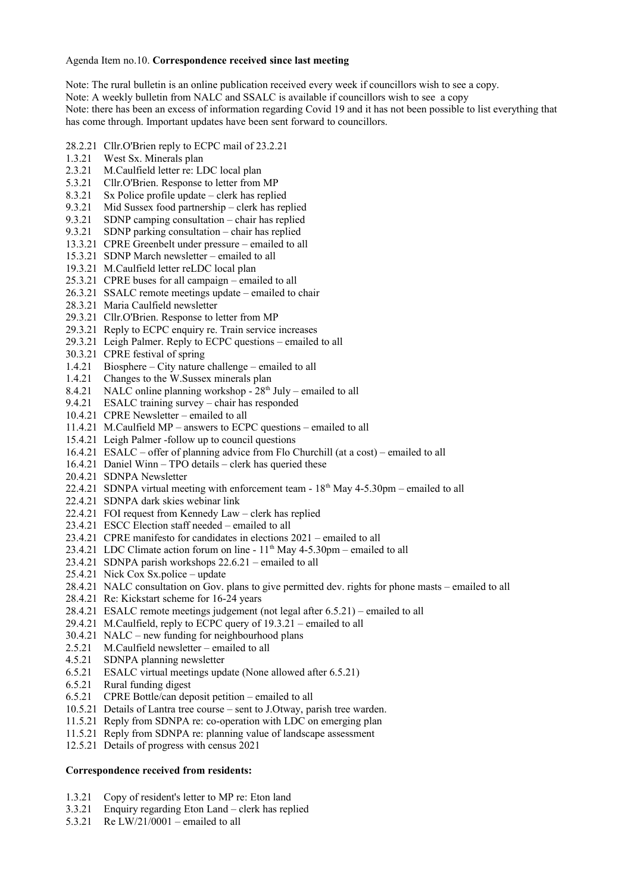## Agenda Item no.10. **Correspondence received since last meeting**

Note: The rural bulletin is an online publication received every week if councillors wish to see a copy. Note: A weekly bulletin from NALC and SSALC is available if councillors wish to see a copy Note: there has been an excess of information regarding Covid 19 and it has not been possible to list everything that has come through. Important updates have been sent forward to councillors.

28.2.21 Cllr.O'Brien reply to ECPC mail of 23.2.21

- 1.3.21 West Sx. Minerals plan
- 2.3.21 M.Caulfield letter re: LDC local plan
- 5.3.21 Cllr.O'Brien. Response to letter from MP<br>8.3.21 Sx Police profile update clerk has replice
- $Sx$  Police profile update clerk has replied
- 9.3.21 Mid Sussex food partnership clerk has replied
- 9.3.21 SDNP camping consultation chair has replied
- 9.3.21 SDNP parking consultation chair has replied
- 13.3.21 CPRE Greenbelt under pressure emailed to all
- 15.3.21 SDNP March newsletter emailed to all
- 19.3.21 M.Caulfield letter reLDC local plan
- 25.3.21 CPRE buses for all campaign emailed to all
- 26.3.21 SSALC remote meetings update emailed to chair
- 28.3.21 Maria Caulfield newsletter
- 29.3.21 Cllr.O'Brien. Response to letter from MP
- 29.3.21 Reply to ECPC enquiry re. Train service increases
- 29.3.21 Leigh Palmer. Reply to ECPC questions emailed to all
- 30.3.21 CPRE festival of spring
- 1.4.21 Biosphere City nature challenge emailed to all
- 1.4.21 Changes to the W.Sussex minerals plan
- 8.4.21 NALC online planning workshop  $28<sup>th</sup>$  July emailed to all
- 9.4.21 ESALC training survey chair has responded
- 10.4.21 CPRE Newsletter emailed to all
- 11.4.21 M.Caulfield MP answers to ECPC questions emailed to all
- 15.4.21 Leigh Palmer -follow up to council questions
- 16.4.21 ESALC offer of planning advice from Flo Churchill (at a cost) emailed to all
- 16.4.21 Daniel Winn TPO details clerk has queried these
- 20.4.21 SDNPA Newsletter
- 22.4.21 SDNPA virtual meeting with enforcement team  $18<sup>th</sup>$  May 4-5.30pm emailed to all
- 22.4.21 SDNPA dark skies webinar link
- 22.4.21 FOI request from Kennedy Law clerk has replied
- 23.4.21 ESCC Election staff needed emailed to all
- 23.4.21 CPRE manifesto for candidates in elections 2021 emailed to all
- 23.4.21 LDC Climate action forum on line  $11<sup>th</sup>$  May 4-5.30pm emailed to all
- 23.4.21 SDNPA parish workshops 22.6.21 emailed to all
- 25.4.21 Nick Cox Sx.police update
- 28.4.21 NALC consultation on Gov. plans to give permitted dev. rights for phone masts emailed to all
- 28.4.21 Re: Kickstart scheme for 16-24 years
- 28.4.21 ESALC remote meetings judgement (not legal after 6.5.21) emailed to all
- 29.4.21 M.Caulfield, reply to ECPC query of 19.3.21 emailed to all
- 30.4.21 NALC new funding for neighbourhood plans
- 2.5.21 M.Caulfield newsletter emailed to all
- 4.5.21 SDNPA planning newsletter
- 6.5.21 ESALC virtual meetings update (None allowed after 6.5.21)
- 6.5.21 Rural funding digest
- 6.5.21 CPRE Bottle/can deposit petition emailed to all
- 10.5.21 Details of Lantra tree course sent to J.Otway, parish tree warden.
- 11.5.21 Reply from SDNPA re: co-operation with LDC on emerging plan
- 11.5.21 Reply from SDNPA re: planning value of landscape assessment
- 12.5.21 Details of progress with census 2021

## **Correspondence received from residents:**

- 1.3.21 Copy of resident's letter to MP re: Eton land
- 3.3.21 Enquiry regarding Eton Land clerk has replied
- 5.3.21 Re LW/21/0001 emailed to all